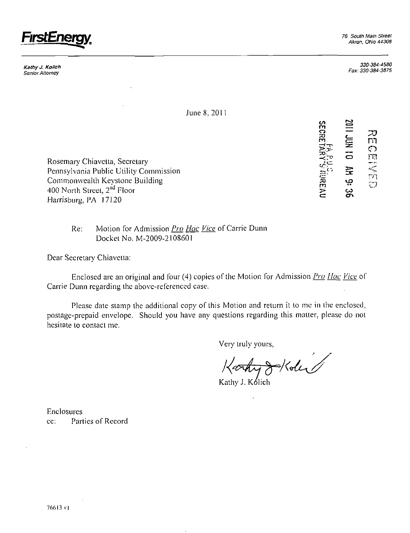

**Kathy J. Kolich**  Senior Attorney

*330-384-4580 Fax: 330-384-3875* 

> m ়ে<br>চল

rn I D

v> n o —

zo<br>da da<br>da  $\Sigma$   $\succ$ 

 $\prec$   $\mathbb{P}$   $\subset$ 

9: 36<br>REAU

 $\tilde{\phantom{a}}$ 

re

June 8. 20

Rosemary Chiavclta, Secretary Pennsylvania Public Ulility Commission Commonwealth Keystone Building 400 North Street, 2<sup>nd</sup> Floor Harrisburg, PA 17120

> Re: Motion for Admission *Pro Hac Vice* of Carrie Dunn Docket No. M-2009-2108601

Dear Secretary Chiavetta:

Enclosed are an original and four (4) copies of the Motion for Admission *Pro Hac Vice* of Carrie Dunn regarding ihe above-referenced case.

Please date stamp the additional copy of this Motion and return it to me in the enclosed, postage-prepaid envelope. Should you have any questions regarding ihis matter, please do not hesitaie to contact me.

Very truly yours.

 $\frac{1}{2}$  / de

Kathy J. Kolich

Enclosures cc: Parties of Record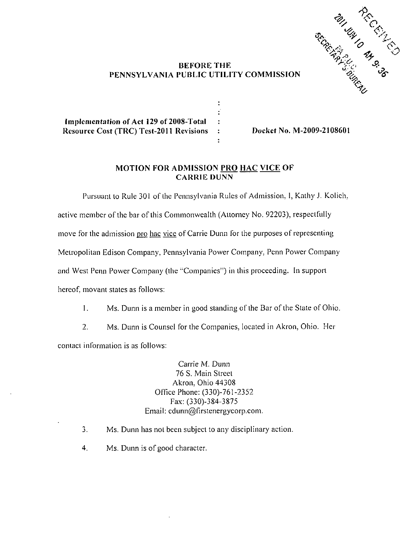

## **BEFORE THE PENNSYLVANIA PUBLIC UTILITY COMMISSION**

 $\ddot{\cdot}$ ÷  $\ddot{\cdot}$  $\ddot{\cdot}$ ÷

**Implcmentafion of Act 129 of 2008-Total Resource Cost (TRC) Tcst-2011 Revisions** 

**Docket No. M-2009-2108601** 

## **MOTION FOR ADMISSION PRO HAC VICE OF CARRIE DUNN**

Pursuant to Rule 301 of the Pennsylvania Rules of Admission, I, Kathy J. Kolich, active member of the bar of this Commonwealth (Attorney No. 92203). respectfully move for the admission pro hac vice of Carrie Dunn for the purposes of representing Metropolitan Edison Company. Pennsylvania Power Company. Penn Power Company and West Penn Power Company (the "Companies") in this proceeding. In support hereof, movant states as follows:

- 1. Ms. Dunn is a member in good standing of the Bar of the State of Ohio.
- 2. Ms. Dunn is Counsel for the Companies, located in Akron, Ohio. Her contact informaiion is as follows:

Carrie M. Dunn 76 S. Main Street Akron, Ohio 44308 Office Phone: (330)-761-2352 Fax: (330)-384-3875 Email: cdunn@Firstenergycorp.com.

- 3. Ms. Dunn has not been subject to any disciplinary action.
- 4. Ms. Dunn is of good character.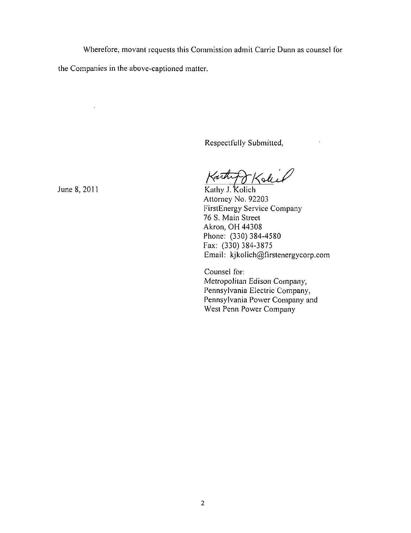Wherefore, movanl requests this Commission admit Carrie Dunn as counsel for

the Companies in the above-captioned matter.

Respectfully Submitted,

June 8, 2011 Karthy J. Kolich torthy

Attorney No. 92203 FirstEnergy Service Company 76 S. Main Street Akron, OH 44308 Phone: (330) 384-4580 Fax: (330) 384-3875 Email: kjkolich@firstenergycorp.com

Counsel for: Metropolitan Edison Company, Pennsylvania Electric Company, Pennsylvania Power Company and West Penn Power Company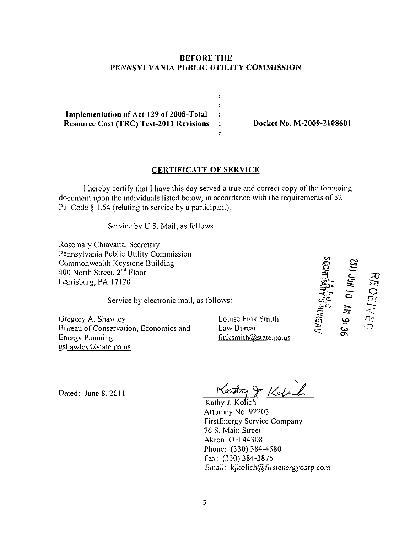## **BEFORE THE PENNSVLVANIA PUBLIC UTILITY COMMISSION**

 $\ddot{\phantom{a}}$ ÷ **Implementation of Act 129 of 2008-Total**   $\ddot{\phantom{a}}$ Resource Cost (TRC) Test-2011 Revisions : Docket No. M-2009-2108601  $\bullet$ 

## **CERTIFICATE OF SERVICE**

I hereby certify that I have this day served a true and correct copy ofthe foregoing document upon the individuals listed below, in accordance with the requirements of 52 Pa. Code § 1.54 (relating to service by a participant).

Service by U.S. Mail, as follows:

Rosemary Chiavatta. Secretary Pennsylvania Public Utility Commission Commonwealth Keystone Building 400 North Street, 2<sup>nd</sup> Floor Harrisburg, PA 17120

Service by electronic mail, as follows:

Gregory A. Shawley Bureau of Conservation, Economics and Energy Planning  $gshawley@state.pa.us$ 

Louise Fink Smith Law Bureau  $finks$ mith $@$ state.pa.us

*tor***m cr ^3**  rn **o**  rrj **• \***  <u>د،</u>

Dated: June 8. 2011

Karty & Kolail

Attorney No. 92203 FirstEnergy Service Company 76 S. Main Streel Akron, OH 44308 Phone: (330) 384-4580 Fax: (330) 384-3875 Email: kjkoJich@firsienergycorp.com